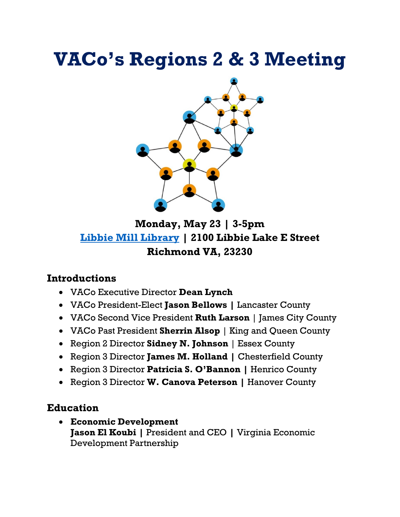# **VACo's Regions 2 & 3 Meeting**



**Monday, May 23 | 3-5pm [Libbie Mill Library](https://www.google.com/maps/place/Libbie+Mill+-+Henrico+County+Public+Library/@37.5902489,-77.498745,17z/data=!3m1!4b1!4m5!3m4!1s0x89b115b435ffac3b:0x8aea16ae709cb8a2!8m2!3d37.5902489!4d-77.4965563) | 2100 Libbie Lake E Street Richmond VA, 23230**

#### **Introductions**

- VACo Executive Director **Dean Lynch**
- VACo President-Elect **Jason Bellows |** Lancaster County
- VACo Second Vice President **Ruth Larson** | James City County
- VACo Past President **Sherrin Alsop** | King and Queen County
- Region 2 Director **Sidney N. Johnson** | Essex County
- Region 3 Director **James M. Holland |** Chesterfield County
- Region 3 Director **Patricia S. O'Bannon |** Henrico County
- Region 3 Director **W. Canova Peterson |** Hanover County

#### **Education**

• **Economic Development Jason El Koubi |** President and CEO **|** Virginia Economic Development Partnership